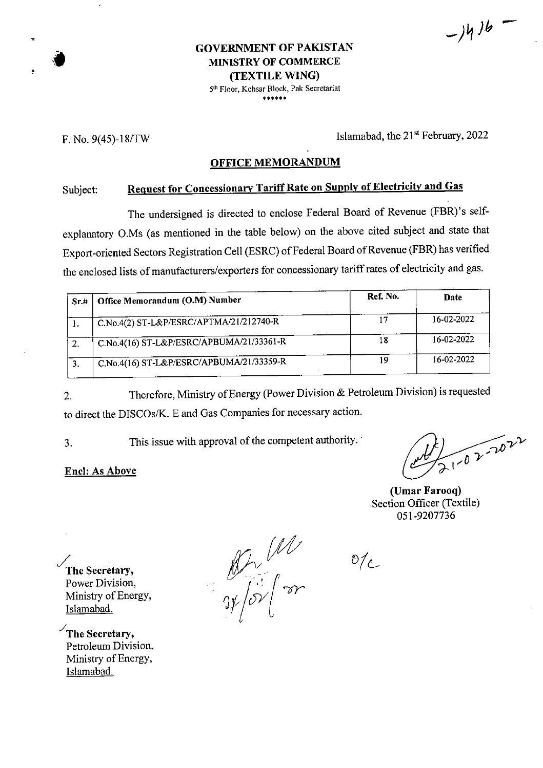GOVERNMENT OF PAKISTAN<br>MINISTRY OF COMMERCE **(TEXTILE WING)**

5th Floor, Kohsar Block, Pak Secretariat *\*\*\*\*\*\**

F. No. 9(45)-18/TW Islamabad, the 21<sup>st</sup> February, 2022

 $-1416 -$ 

### **OFFICE MEMORANDUM**

# Subject: **Request for Concessionary TariffRate on Supply ofElectricity and Gas**

The undersigned is directed to enclose Federal Board of Revenue (FBR)'s selfexplanatory O.Ms (as mentioned in the table below) on the above cited subject and state that Export-oriented Sectors Registration Cell (ESRC) of Federal Board of Revenue (FBR) has verified the enclosed lists of manufacturers/exporters for concessionary tariff rates of electricity and gas.

| Sr.# | Office Memorandum (O.M) Number           | Ref. No. | Date       |  |
|------|------------------------------------------|----------|------------|--|
|      | C.No.4(2) ST-L&P/ESRC/APTMA/21/212740-R  | 17       | 16-02-2022 |  |
|      | C.No.4(16) ST-L&P/ESRC/APBUMA/21/33361-R | 18       | 16-02-2022 |  |
|      | C.No.4(16) ST-L&P/ESRC/APBUMA/21/33359-R | 19       | 16-02-2022 |  |

Therefore, Ministry of Energy (Power Division & Petroleum Division) is requested to direct the DISCOs/K. E and Gas Companies for necessary action. 2.

**Enel: As Above**

3. This issue with approval of the competent authority.<br>**Encl:** As Above

**(Umar Farooq)** Section Officer (Textile) 051-9207736

 $\mathcal{O}/c$ 

**The Secretary,** Power Division, Ministry of Energy, Islamabad.

**y,The Secretary,** Petroleum Division, Ministry of Energy, Islamabad.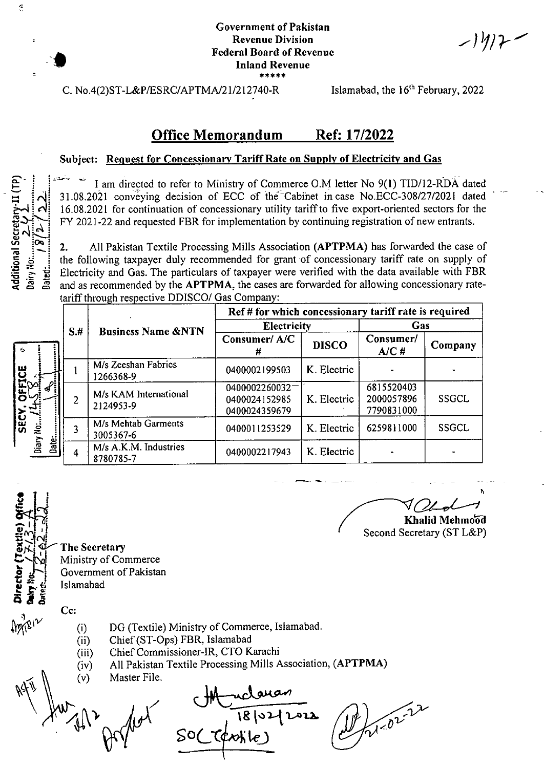ンリリア

C. No.4(2)ST-L&P/ESRC/APTMA/21/212740-R

\*

Islamabad, the 16<sup>th</sup> February, 2022

## Office Memorandum Ref: 17/2022

#### **Subject: Request for Concessionary Tariff Rate on Supply of Electricity and Gas**

I am directed to refer to Ministry of Commerce O.M letter No 9(1) TID/12-RDA dated 31.08.2021 conveying decision of ECC of the Cabinet in case No.ECC-308/27/2021 dated 16.08.2021 for continuation of concessionary utility tariffto five export-oriented sectors for the FY 2021-22 and requested FBR for implementation by continuing registration of new entrants.

 $\overline{B}$   $\overline{B}$   $\overline{C}$   $\overline{C}$   $\overline{C}$   $\overline{D}$   $\overline{D}$   $\overline{D}$   $\overline{D}$   $\overline{D}$   $\overline{D}$   $\overline{D}$   $\overline{D}$   $\overline{D}$   $\overline{D}$   $\overline{D}$   $\overline{D}$   $\overline{D}$   $\overline{D}$   $\overline{D}$   $\overline{D}$   $\overline{D}$   $\overline{D}$   $\overline{D}$   $\overline{$ All Pakistan Textile Processing Mills Association **(APTPMA)** has forwarded the case of *\* the following taxpayer duly recommended for grant of concessionary tariff rate on supply of Electricity and Gas. The particulars of taxpayer were verified with the data available with FBR and as recommended by the **APTPMA**, the cases are forwarded for allowing concessionary rateand as recommended by the APTPMA, the cases are forwarded for allowing concessionary ratetariff through respective DDISCO/ Gas Company:

|                            |      |                                    | Ref # for which concessionary tariff rate is required |              |                                        |              |  |  |
|----------------------------|------|------------------------------------|-------------------------------------------------------|--------------|----------------------------------------|--------------|--|--|
|                            | $S+$ | <b>Business Name &amp;NTN</b>      | <b>Electricity</b>                                    |              | Gas                                    |              |  |  |
| 6                          |      |                                    | Consumer/A/C                                          | <b>DISCO</b> | Consumer/<br>A/CH                      | Company      |  |  |
| ٣Ū<br>ō<br><b>SEC</b><br>ë |      | M/s Zeeshan Fabrics<br>1266368-9   | 0400002199503                                         | K. Electric  |                                        |              |  |  |
|                            |      | M/s KAM International<br>2124953-9 | 0400002260032<br>0400024152985<br>0400024359679       | K. Electric  | 6815520403<br>2000057896<br>7790831000 | <b>SSGCL</b> |  |  |
|                            |      | M/s Mehtab Garments<br>3005367-6   | 0400011253529                                         | K. Electric  | 6259811000                             | <b>SSGCL</b> |  |  |
| Diary N<br>Date:           |      | M/s A.K.M. Industries<br>8780785-7 | 0400002217943                                         | K. Electric  |                                        |              |  |  |

*l* لہ: 5 The H<br>Day<br>Date

**-2** *M*

**e**

 $\Xi$  : :

 $\mathfrak{S}$ 

 $\Xi$   $\left| \vec{\mathcal{J}} \right|$ 

*i*

**The Secretary** Ministry of Commerce **Government of Pakistan** Islamabad

**Cc:**

- DG (Textile) Ministry of Commerce, Islamabad. (i)
- Chief(ST-Ops) FBR, Islamabad (ii)
- Chief Commissioner-IR, CTO Karachi (iii)
- All Pakistan Textile Processing Mills Association, (APTPMA) (iv)
- Master File. (v)

 $\mu = \mu$ 

 $\sqrt{2}$ **\g** SOCC¢xolile)

21-02-22

**21f3 Khalid Mehmood**

Second Secretary (ST L&P)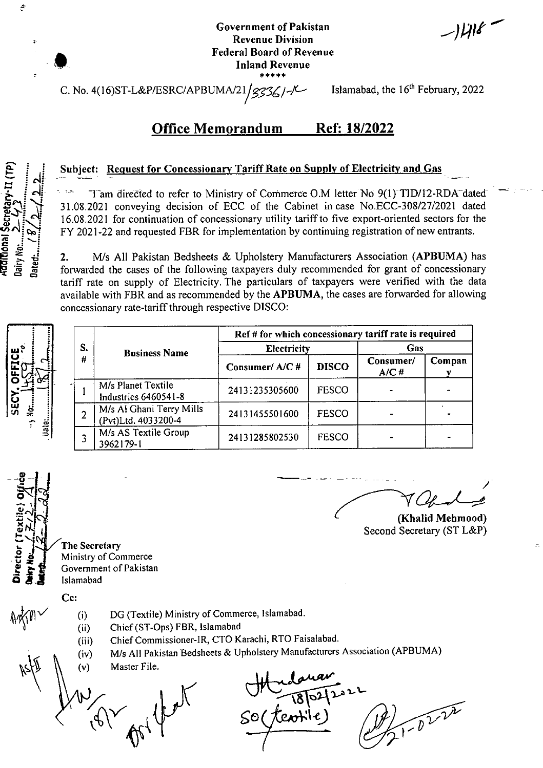$-1418$ 

C. No. 4(16)ST-L&P/ESRC/APBUMA/21/ $\frac{235}{100}$  /  $\sim$  Islamabad, the 16<sup>th</sup> February, 2022

#### Office Memorandum Ref: 18/2022

## **Subject:** Request for Concessionary Tariff Rate on Supply of Electricity and Gas

Tam directed to refer to Ministry of Commerce O.M letter No 9(l)T]D/12-RDA"dated" 31.08.2021 conveying decision of ECC of the Cabinet incase No.ECC-308/27/2021 dated 16.08.2021 for continuation of concessionary utility tariffto five export-oriented sectors for the FY 2021-22 and requested FBR for implementation by continuing registration of new entrants.

2. M/s All Pakistan Bedsheets & Upholstery Manufacturers Association (APBUMA) has forwarded the cases of the following taxpayers duly recommended for grant of concessionary tariff rate on supply of Electricity. The particulars of taxpayers were verified with the data available with FBR and as recommended by the **APBUMA,** the cases are forwarded for allowing concessionary rate-tariff through respective DISCO:  $\Xi \leq \frac{1}{2}$  2.

|                                           |  | S. | <b>Business Name</b>                            | Ref # for which concessionary tariff rate is required |              |                   |        |  |  |
|-------------------------------------------|--|----|-------------------------------------------------|-------------------------------------------------------|--------------|-------------------|--------|--|--|
|                                           |  |    |                                                 | Electricity                                           | Gas          |                   |        |  |  |
| <b>FFICE</b><br>CCC                       |  | #  |                                                 | Consumer/A/C#                                         | <b>DISCO</b> | Consumer/<br>A/C# | Compan |  |  |
| O                                         |  |    | M/s Planet Textile<br>Industries 6460541-8      | 24131235305600                                        | <b>FESCO</b> |                   |        |  |  |
| SECY<br>-<br>$\ddot{z}$<br>$\overline{a}$ |  |    | M/s Al Ghani Terry Mills<br>(Pvt)Ltd. 4033200-4 | 24131455501600                                        | <b>FESCO</b> |                   |        |  |  |
| iJaie:                                    |  |    | M/s AS Textile Group<br>3962179-1               | 24131285802530                                        | <b>FESCO</b> |                   |        |  |  |

©

Second Secretary (ST L&P)<br>
The Secretary<br>
Ministry of Commerce<br>
Contained Contained Secretary<br>
The Second Secretary<br>
Ministry of Commerce Ministry of Commerce Government of Pakistan<br>**Islamabad** 

Cc:

**#**

**§ <sup>i</sup>**

 $\mathcal{C}$ 

 $\frac{2}{3}$ 

 $\tilde{\mathbf{s}}$   $\mathbf{s}$  :

IB .S' 4i Eg J? <5 a a :

- - (i) (ii)
- DG (Textile) Ministry of Commerce, Islamabad.
	- Chief(ST-Ops) FBR, Islamabad
	- ChiefCommissioner-IR, CTO Karachi, RTO Faisalabad. (iii)
	- M/s All Pakistan Bedsheets & Upholstery Manufacturers Association (APBUMA) (iv)
	- Master File. (v)

\

 $1 - 0222$ SO (teosile)

**(Khalid Mchmood)**